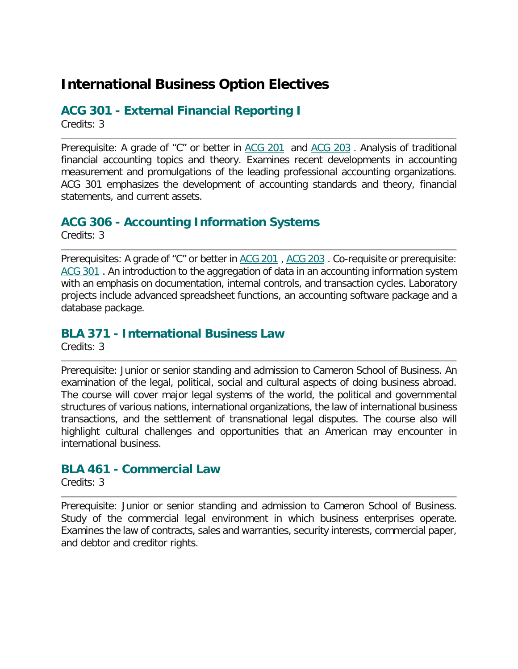## **International Business Option Electives**

#### **ACG 301 - External Financial Reporting I**

Credits: 3

Prerequisite: A grade of "C" or better in [ACG 201](http://catalogue.uncw.edu/preview_course_nopop.php?catoid=41&coid=150962) and [ACG 203](http://catalogue.uncw.edu/preview_course_nopop.php?catoid=41&coid=150964). Analysis of traditional financial accounting topics and theory. Examines recent developments in accounting measurement and promulgations of the leading professional accounting organizations. ACG 301 emphasizes the development of accounting standards and theory, financial statements, and current assets.

#### **ACG 306 - Accounting Information Systems**

Credits: 3

Prerequisites: A grade of "C" or better in [ACG 201](http://catalogue.uncw.edu/preview_course_nopop.php?catoid=41&coid=150962), [ACG 203](http://catalogue.uncw.edu/preview_course_nopop.php?catoid=41&coid=150964). Co-requisite or prerequisite: [ACG 301](http://catalogue.uncw.edu/preview_course_nopop.php?catoid=41&coid=150966) . An introduction to the aggregation of data in an accounting information system with an emphasis on documentation, internal controls, and transaction cycles. Laboratory projects include advanced spreadsheet functions, an accounting software package and a database package.

#### **BLA 371 - International Business Law**

Credits: 3

Prerequisite: Junior or senior standing and admission to Cameron School of Business. An examination of the legal, political, social and cultural aspects of doing business abroad. The course will cover major legal systems of the world, the political and governmental structures of various nations, international organizations, the law of international business transactions, and the settlement of transnational legal disputes. The course also will highlight cultural challenges and opportunities that an American may encounter in international business.

#### **BLA 461 - Commercial Law**

Credits: 3

Prerequisite: Junior or senior standing and admission to Cameron School of Business. Study of the commercial legal environment in which business enterprises operate. Examines the law of contracts, sales and warranties, security interests, commercial paper, and debtor and creditor rights.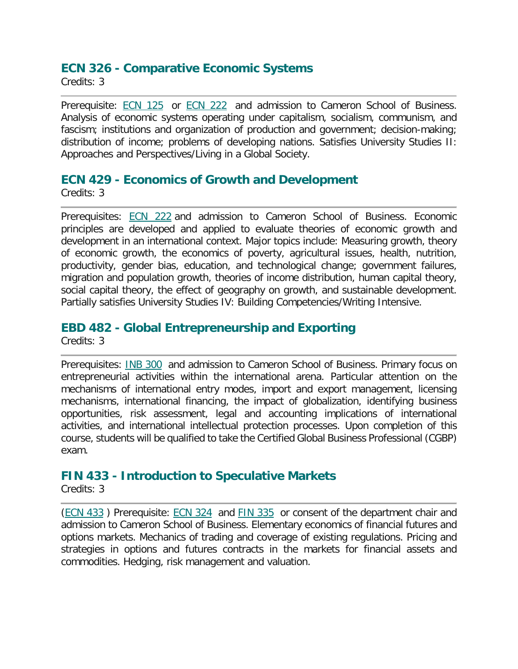#### **ECN 326 - Comparative Economic Systems**

Credits: 3

Prerequisite: **[ECN 125](http://catalogue.uncw.edu/preview_course_nopop.php?catoid=41&coid=151536)** or **[ECN 222](http://catalogue.uncw.edu/preview_course_nopop.php?catoid=41&coid=151538)** and admission to Cameron School of Business. Analysis of economic systems operating under capitalism, socialism, communism, and fascism; institutions and organization of production and government; decision-making; distribution of income; problems of developing nations. Satisfies University Studies II: Approaches and Perspectives/Living in a Global Society.

#### **ECN 429 - Economics of Growth and Development**

Credits: 3

Prerequisites: [ECN 222](http://catalogue.uncw.edu/preview_course_nopop.php?catoid=41&coid=151538) and admission to Cameron School of Business. Economic principles are developed and applied to evaluate theories of economic growth and development in an international context. Major topics include: Measuring growth, theory of economic growth, the economics of poverty, agricultural issues, health, nutrition, productivity, gender bias, education, and technological change; government failures, migration and population growth, theories of income distribution, human capital theory, social capital theory, the effect of geography on growth, and sustainable development. Partially satisfies University Studies IV: Building Competencies/Writing Intensive.

#### **EBD 482 - Global Entrepreneurship and Exporting**

Credits: 3

Prerequisites: [INB 300](http://catalogue.uncw.edu/preview_course_nopop.php?catoid=41&coid=152267) and admission to Cameron School of Business. Primary focus on entrepreneurial activities within the international arena. Particular attention on the mechanisms of international entry modes, import and export management, licensing mechanisms, international financing, the impact of globalization, identifying business opportunities, risk assessment, legal and accounting implications of international activities, and international intellectual protection processes. Upon completion of this course, students will be qualified to take the Certified Global Business Professional (CGBP) exam.

#### **FIN 433 - Introduction to Speculative Markets**

Credits: 3

[\(ECN 433](http://catalogue.uncw.edu/preview_course_nopop.php?catoid=41&coid=151564) ) Prerequisite: [ECN 324](http://catalogue.uncw.edu/preview_course_nopop.php?catoid=41&coid=151547) and [FIN 335](http://catalogue.uncw.edu/preview_course_nopop.php?catoid=41&coid=151840) or consent of the department chair and admission to Cameron School of Business. Elementary economics of financial futures and options markets. Mechanics of trading and coverage of existing regulations. Pricing and strategies in options and futures contracts in the markets for financial assets and commodities. Hedging, risk management and valuation.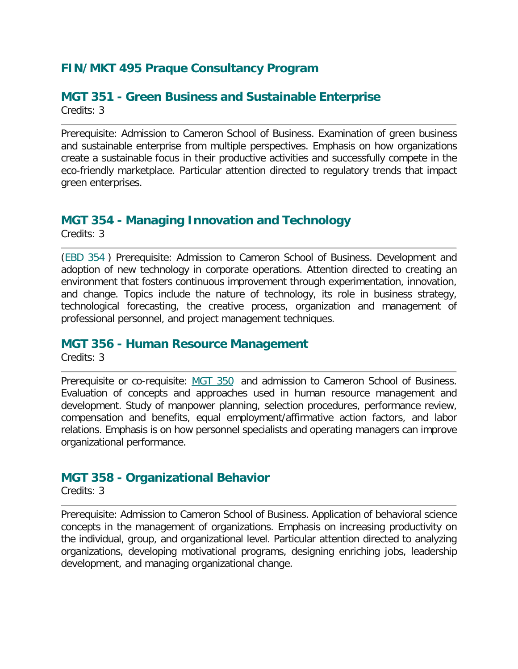### **FIN/MKT 495 Praque Consultancy Program**

#### **MGT 351 - Green Business and Sustainable Enterprise**  Credits: 3

Prerequisite: Admission to Cameron School of Business. Examination of green business and sustainable enterprise from multiple perspectives. Emphasis on how organizations create a sustainable focus in their productive activities and successfully compete in the eco-friendly marketplace. Particular attention directed to regulatory trends that impact green enterprises.

### **MGT 354 - Managing Innovation and Technology**

Credits: 3

[\(EBD 354](http://catalogue.uncw.edu/preview_course_nopop.php?catoid=41&coid=151524) ) Prerequisite: Admission to Cameron School of Business. Development and adoption of new technology in corporate operations. Attention directed to creating an environment that fosters continuous improvement through experimentation, innovation, and change. Topics include the nature of technology, its role in business strategy, technological forecasting, the creative process, organization and management of professional personnel, and project management techniques.

#### **MGT 356 - Human Resource Management**

Credits: 3

Prerequisite or co-requisite: [MGT 350](http://catalogue.uncw.edu/preview_course_nopop.php?catoid=41&coid=152367) and admission to Cameron School of Business. Evaluation of concepts and approaches used in human resource management and development. Study of manpower planning, selection procedures, performance review, compensation and benefits, equal employment/affirmative action factors, and labor relations. Emphasis is on how personnel specialists and operating managers can improve organizational performance.

#### **MGT 358 - Organizational Behavior**

Credits: 3

Prerequisite: Admission to Cameron School of Business. Application of behavioral science concepts in the management of organizations. Emphasis on increasing productivity on the individual, group, and organizational level. Particular attention directed to analyzing organizations, developing motivational programs, designing enriching jobs, leadership development, and managing organizational change.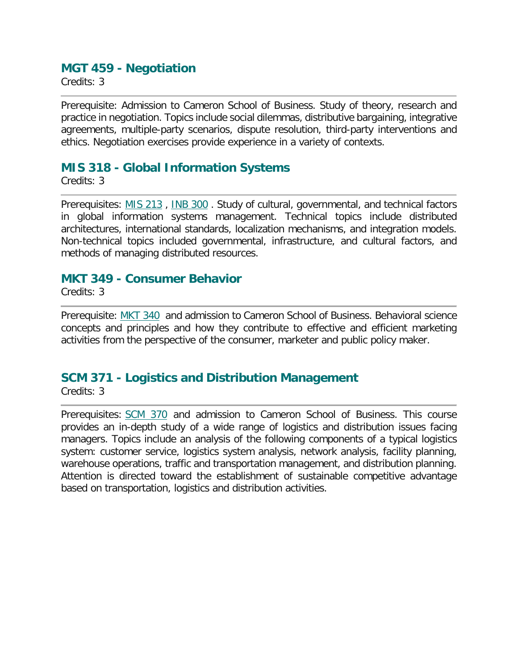#### **MGT 459 - Negotiation**

Credits: 3

Prerequisite: Admission to Cameron School of Business. Study of theory, research and practice in negotiation. Topics include social dilemmas, distributive bargaining, integrative agreements, multiple-party scenarios, dispute resolution, third-party interventions and ethics. Negotiation exercises provide experience in a variety of contexts.

#### **MIS 318 - Global Information Systems**

Credits: 3

Prerequisites: [MIS 213](http://catalogue.uncw.edu/preview_course_nopop.php?catoid=41&coid=153501), [INB 300](http://catalogue.uncw.edu/preview_course_nopop.php?catoid=41&coid=152267). Study of cultural, governmental, and technical factors in global information systems management. Technical topics include distributed architectures, international standards, localization mechanisms, and integration models. Non-technical topics included governmental, infrastructure, and cultural factors, and methods of managing distributed resources.

#### **MKT 349 - Consumer Behavior**

Credits: 3

Prerequisite: [MKT 340](http://catalogue.uncw.edu/preview_course_nopop.php?catoid=41&coid=152411) and admission to Cameron School of Business. Behavioral science concepts and principles and how they contribute to effective and efficient marketing activities from the perspective of the consumer, marketer and public policy maker.

#### **SCM 371 - Logistics and Distribution Management**

Credits: 3

Prerequisites: [SCM 370](http://catalogue.uncw.edu/preview_course_nopop.php?catoid=41&coid=157844) and admission to Cameron School of Business. This course provides an in-depth study of a wide range of logistics and distribution issues facing managers. Topics include an analysis of the following components of a typical logistics system: customer service, logistics system analysis, network analysis, facility planning, warehouse operations, traffic and transportation management, and distribution planning. Attention is directed toward the establishment of sustainable competitive advantage based on transportation, logistics and distribution activities.